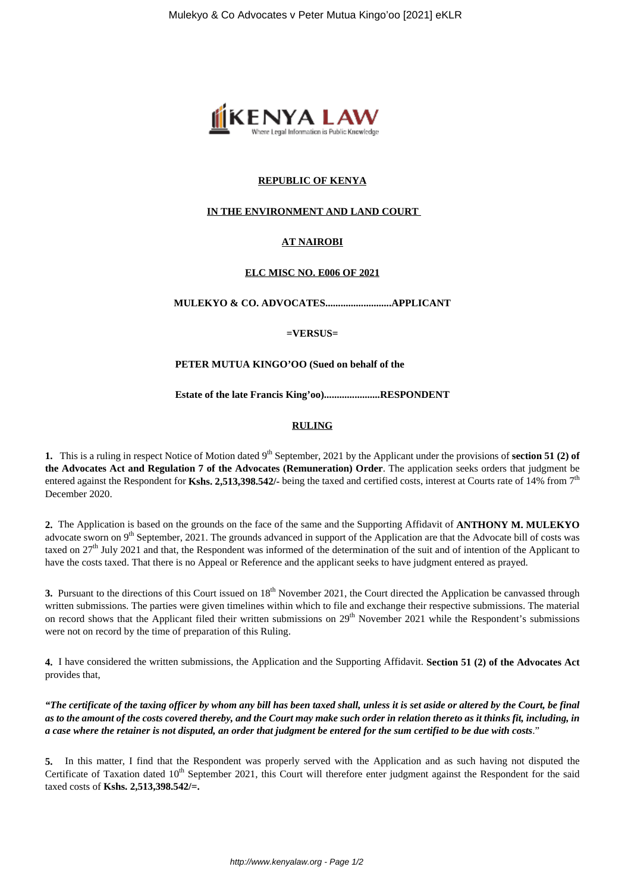

## **REPUBLIC OF KENYA**

## **IN THE ENVIRONMENT AND LAND COURT**

# **AT NAIROBI**

### **ELC MISC NO. E006 OF 2021**

**MULEKYO & CO. ADVOCATES..........................APPLICANT**

**=VERSUS=**

#### **PETER MUTUA KINGO'OO (Sued on behalf of the**

**Estate of the late Francis King'oo)......................RESPONDENT**

### **RULING**

**1.** This is a ruling in respect Notice of Motion dated 9<sup>th</sup> September, 2021 by the Applicant under the provisions of **section 51 (2) of the Advocates Act and Regulation 7 of the Advocates (Remuneration) Order**. The application seeks orders that judgment be entered against the Respondent for Kshs. 2,513,398.542/- being the taxed and certified costs, interest at Courts rate of 14% from 7<sup>th</sup> December 2020.

**2.** The Application is based on the grounds on the face of the same and the Supporting Affidavit of **ANTHONY M. MULEKYO** advocate sworn on 9<sup>th</sup> September, 2021. The grounds advanced in support of the Application are that the Advocate bill of costs was taxed on  $27<sup>th</sup>$  July 2021 and that, the Respondent was informed of the determination of the suit and of intention of the Applicant to have the costs taxed. That there is no Appeal or Reference and the applicant seeks to have judgment entered as prayed.

**3.** Pursuant to the directions of this Court issued on 18<sup>th</sup> November 2021, the Court directed the Application be canvassed through written submissions. The parties were given timelines within which to file and exchange their respective submissions. The material on record shows that the Applicant filed their written submissions on 29<sup>th</sup> November 2021 while the Respondent's submissions were not on record by the time of preparation of this Ruling.

**4.** I have considered the written submissions, the Application and the Supporting Affidavit. **Section 51 (2) of the Advocates Act** provides that,

*"The certificate of the taxing officer by whom any bill has been taxed shall, unless it is set aside or altered by the Court, be final as to the amount of the costs covered thereby, and the Court may make such order in relation thereto as it thinks fit, including, in a case where the retainer is not disputed, an order that judgment be entered for the sum certified to be due with costs*."

**5.** In this matter, I find that the Respondent was properly served with the Application and as such having not disputed the Certificate of Taxation dated  $10<sup>th</sup>$  September 2021, this Court will therefore enter judgment against the Respondent for the said taxed costs of **Kshs. 2,513,398.542/=.**